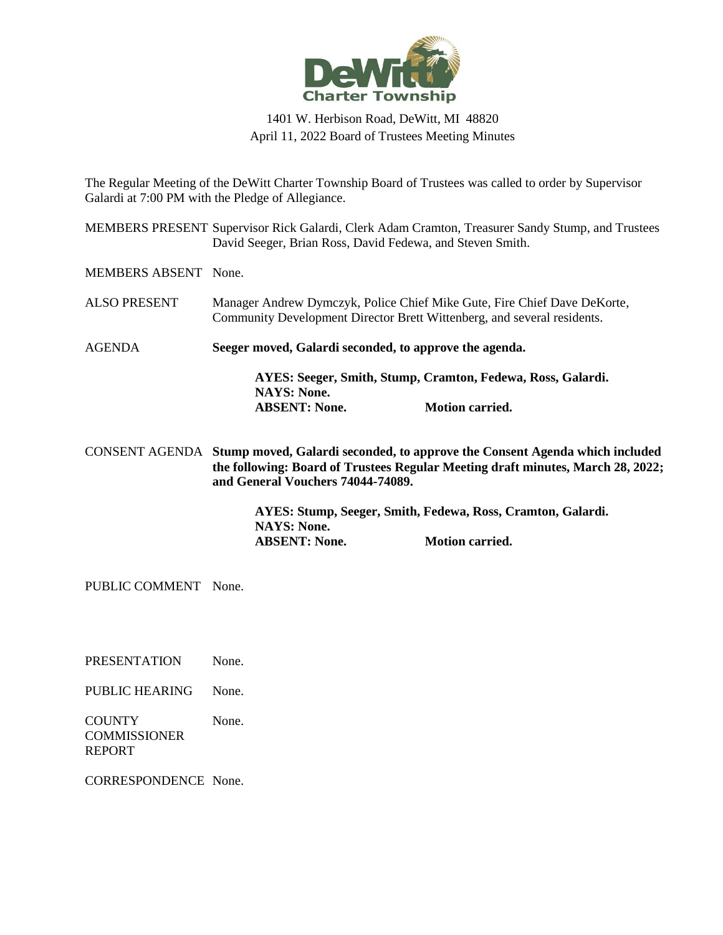

## 1401 W. Herbison Road, DeWitt, MI 48820 April 11, 2022 Board of Trustees Meeting Minutes

The Regular Meeting of the DeWitt Charter Township Board of Trustees was called to order by Supervisor Galardi at 7:00 PM with the Pledge of Allegiance.

MEMBERS PRESENT Supervisor Rick Galardi, Clerk Adam Cramton, Treasurer Sandy Stump, and Trustees David Seeger, Brian Ross, David Fedewa, and Steven Smith.

MEMBERS ABSENT None.

- ALSO PRESENT Manager Andrew Dymczyk, Police Chief Mike Gute, Fire Chief Dave DeKorte, Community Development Director Brett Wittenberg, and several residents.
- AGENDA **Seeger moved, Galardi seconded, to approve the agenda.**

**AYES: Seeger, Smith, Stump, Cramton, Fedewa, Ross, Galardi. NAYS: None. ABSENT: None. Motion carried.**

CONSENT AGENDA **Stump moved, Galardi seconded, to approve the Consent Agenda which included the following: Board of Trustees Regular Meeting draft minutes, March 28, 2022; and General Vouchers 74044-74089.**

> **AYES: Stump, Seeger, Smith, Fedewa, Ross, Cramton, Galardi. NAYS: None. ABSENT: None. Motion carried.**

PUBLIC COMMENT None.

PRESENTATION None.

PUBLIC HEARING None.

**COUNTY COMMISSIONER** REPORT None.

CORRESPONDENCE None.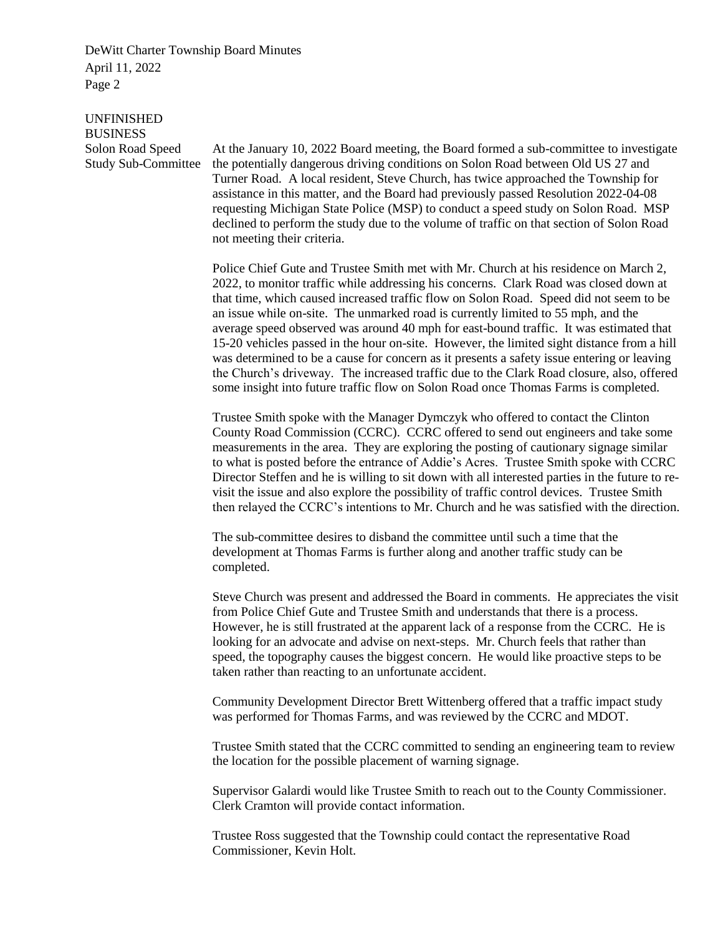UNFINISHED BUSINESS Solon Road Speed Study Sub-Committee

At the January 10, 2022 Board meeting, the Board formed a sub-committee to investigate the potentially dangerous driving conditions on Solon Road between Old US 27 and Turner Road. A local resident, Steve Church, has twice approached the Township for assistance in this matter, and the Board had previously passed Resolution 2022-04-08 requesting Michigan State Police (MSP) to conduct a speed study on Solon Road. MSP declined to perform the study due to the volume of traffic on that section of Solon Road not meeting their criteria.

Police Chief Gute and Trustee Smith met with Mr. Church at his residence on March 2, 2022, to monitor traffic while addressing his concerns. Clark Road was closed down at that time, which caused increased traffic flow on Solon Road. Speed did not seem to be an issue while on-site. The unmarked road is currently limited to 55 mph, and the average speed observed was around 40 mph for east-bound traffic. It was estimated that 15-20 vehicles passed in the hour on-site. However, the limited sight distance from a hill was determined to be a cause for concern as it presents a safety issue entering or leaving the Church's driveway. The increased traffic due to the Clark Road closure, also, offered some insight into future traffic flow on Solon Road once Thomas Farms is completed.

Trustee Smith spoke with the Manager Dymczyk who offered to contact the Clinton County Road Commission (CCRC). CCRC offered to send out engineers and take some measurements in the area. They are exploring the posting of cautionary signage similar to what is posted before the entrance of Addie's Acres. Trustee Smith spoke with CCRC Director Steffen and he is willing to sit down with all interested parties in the future to revisit the issue and also explore the possibility of traffic control devices. Trustee Smith then relayed the CCRC's intentions to Mr. Church and he was satisfied with the direction.

The sub-committee desires to disband the committee until such a time that the development at Thomas Farms is further along and another traffic study can be completed.

Steve Church was present and addressed the Board in comments. He appreciates the visit from Police Chief Gute and Trustee Smith and understands that there is a process. However, he is still frustrated at the apparent lack of a response from the CCRC. He is looking for an advocate and advise on next-steps. Mr. Church feels that rather than speed, the topography causes the biggest concern. He would like proactive steps to be taken rather than reacting to an unfortunate accident.

Community Development Director Brett Wittenberg offered that a traffic impact study was performed for Thomas Farms, and was reviewed by the CCRC and MDOT.

Trustee Smith stated that the CCRC committed to sending an engineering team to review the location for the possible placement of warning signage.

Supervisor Galardi would like Trustee Smith to reach out to the County Commissioner. Clerk Cramton will provide contact information.

Trustee Ross suggested that the Township could contact the representative Road Commissioner, Kevin Holt.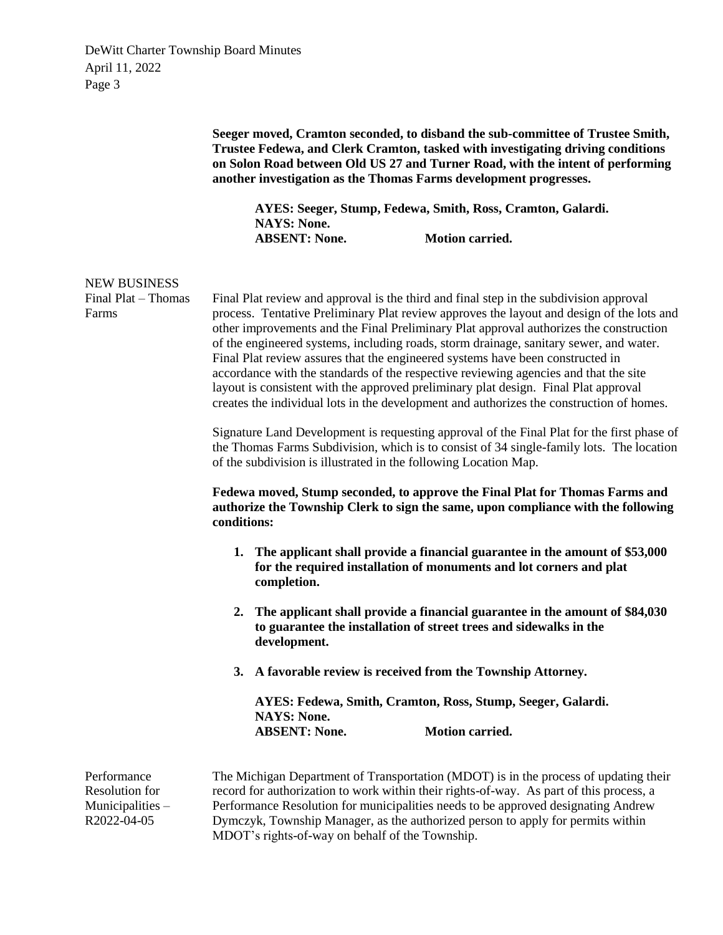|                                                                  |                                                                                       |                                                                                                                                                                                                                                                                                                                                                                                                                                                                                                                                                                                                                                                                                                                                                                                                                                                                                                                                                                                                                                                                                                                                                                                                                                                                                                                                                                                                                                                                                                                      | Seeger moved, Cramton seconded, to disband the sub-committee of Trustee Smith,<br>Trustee Fedewa, and Clerk Cramton, tasked with investigating driving conditions<br>on Solon Road between Old US 27 and Turner Road, with the intent of performing<br>another investigation as the Thomas Farms development progresses.<br>AYES: Seeger, Stump, Fedewa, Smith, Ross, Cramton, Galardi. |
|------------------------------------------------------------------|---------------------------------------------------------------------------------------|----------------------------------------------------------------------------------------------------------------------------------------------------------------------------------------------------------------------------------------------------------------------------------------------------------------------------------------------------------------------------------------------------------------------------------------------------------------------------------------------------------------------------------------------------------------------------------------------------------------------------------------------------------------------------------------------------------------------------------------------------------------------------------------------------------------------------------------------------------------------------------------------------------------------------------------------------------------------------------------------------------------------------------------------------------------------------------------------------------------------------------------------------------------------------------------------------------------------------------------------------------------------------------------------------------------------------------------------------------------------------------------------------------------------------------------------------------------------------------------------------------------------|-----------------------------------------------------------------------------------------------------------------------------------------------------------------------------------------------------------------------------------------------------------------------------------------------------------------------------------------------------------------------------------------|
|                                                                  |                                                                                       | <b>NAYS: None.</b><br><b>ABSENT: None.</b>                                                                                                                                                                                                                                                                                                                                                                                                                                                                                                                                                                                                                                                                                                                                                                                                                                                                                                                                                                                                                                                                                                                                                                                                                                                                                                                                                                                                                                                                           | <b>Motion carried.</b>                                                                                                                                                                                                                                                                                                                                                                  |
| <b>NEW BUSINESS</b><br>Final Plat - Thomas<br>Farms              | conditions:<br>1.<br>A favorable review is received from the Township Attorney.<br>3. | Final Plat review and approval is the third and final step in the subdivision approval<br>process. Tentative Preliminary Plat review approves the layout and design of the lots and<br>other improvements and the Final Preliminary Plat approval authorizes the construction<br>of the engineered systems, including roads, storm drainage, sanitary sewer, and water.<br>Final Plat review assures that the engineered systems have been constructed in<br>accordance with the standards of the respective reviewing agencies and that the site<br>layout is consistent with the approved preliminary plat design. Final Plat approval<br>creates the individual lots in the development and authorizes the construction of homes.<br>Signature Land Development is requesting approval of the Final Plat for the first phase of<br>the Thomas Farms Subdivision, which is to consist of 34 single-family lots. The location<br>of the subdivision is illustrated in the following Location Map.<br>Fedewa moved, Stump seconded, to approve the Final Plat for Thomas Farms and<br>authorize the Township Clerk to sign the same, upon compliance with the following<br>The applicant shall provide a financial guarantee in the amount of \$53,000<br>for the required installation of monuments and lot corners and plat<br>completion.<br>2. The applicant shall provide a financial guarantee in the amount of \$84,030<br>to guarantee the installation of street trees and sidewalks in the<br>development. |                                                                                                                                                                                                                                                                                                                                                                                         |
|                                                                  | AYES: Fedewa, Smith, Cramton, Ross, Stump, Seeger, Galardi.                           |                                                                                                                                                                                                                                                                                                                                                                                                                                                                                                                                                                                                                                                                                                                                                                                                                                                                                                                                                                                                                                                                                                                                                                                                                                                                                                                                                                                                                                                                                                                      |                                                                                                                                                                                                                                                                                                                                                                                         |
|                                                                  |                                                                                       | <b>NAYS: None.</b><br><b>ABSENT: None.</b>                                                                                                                                                                                                                                                                                                                                                                                                                                                                                                                                                                                                                                                                                                                                                                                                                                                                                                                                                                                                                                                                                                                                                                                                                                                                                                                                                                                                                                                                           | Motion carried.                                                                                                                                                                                                                                                                                                                                                                         |
| Performance<br>Resolution for<br>Municipalities -<br>R2022-04-05 |                                                                                       |                                                                                                                                                                                                                                                                                                                                                                                                                                                                                                                                                                                                                                                                                                                                                                                                                                                                                                                                                                                                                                                                                                                                                                                                                                                                                                                                                                                                                                                                                                                      | The Michigan Department of Transportation (MDOT) is in the process of updating their<br>record for authorization to work within their rights-of-way. As part of this process, a<br>Performance Resolution for municipalities needs to be approved designating Andrew<br>Dymczyk, Township Manager, as the authorized person to apply for permits within                                 |

Dymczyk, Township Manager, as the authorized person to apply for permits within MDOT's rights-of-way on behalf of the Township.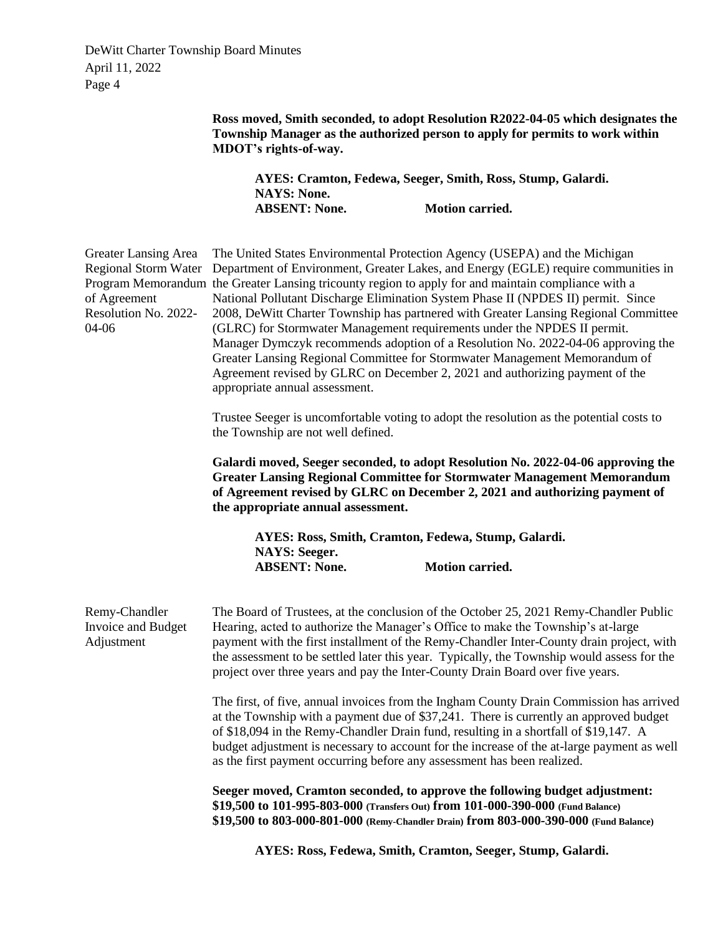> **Ross moved, Smith seconded, to adopt Resolution R2022-04-05 which designates the Township Manager as the authorized person to apply for permits to work within MDOT's rights-of-way.**

**AYES: Cramton, Fedewa, Seeger, Smith, Ross, Stump, Galardi. NAYS: None. ABSENT: None. Motion carried.**

| Greater Lansing Area<br><b>Regional Storm Water</b><br>of Agreement<br>Resolution No. 2022-<br>04-06 | The United States Environmental Protection Agency (USEPA) and the Michigan<br>Department of Environment, Greater Lakes, and Energy (EGLE) require communities in<br>Program Memorandum the Greater Lansing tricounty region to apply for and maintain compliance with a<br>National Pollutant Discharge Elimination System Phase II (NPDES II) permit. Since<br>2008, DeWitt Charter Township has partnered with Greater Lansing Regional Committee<br>(GLRC) for Stormwater Management requirements under the NPDES II permit.<br>Manager Dymczyk recommends adoption of a Resolution No. 2022-04-06 approving the<br>Greater Lansing Regional Committee for Stormwater Management Memorandum of<br>Agreement revised by GLRC on December 2, 2021 and authorizing payment of the<br>appropriate annual assessment. |  |  |  |  |
|------------------------------------------------------------------------------------------------------|---------------------------------------------------------------------------------------------------------------------------------------------------------------------------------------------------------------------------------------------------------------------------------------------------------------------------------------------------------------------------------------------------------------------------------------------------------------------------------------------------------------------------------------------------------------------------------------------------------------------------------------------------------------------------------------------------------------------------------------------------------------------------------------------------------------------|--|--|--|--|
|                                                                                                      | Trustee Seeger is uncomfortable voting to adopt the resolution as the potential costs to<br>the Township are not well defined.                                                                                                                                                                                                                                                                                                                                                                                                                                                                                                                                                                                                                                                                                      |  |  |  |  |
|                                                                                                      | Galardi moved, Seeger seconded, to adopt Resolution No. 2022-04-06 approving the<br><b>Greater Lansing Regional Committee for Stormwater Management Memorandum</b><br>of Agreement revised by GLRC on December 2, 2021 and authorizing payment of<br>the appropriate annual assessment.                                                                                                                                                                                                                                                                                                                                                                                                                                                                                                                             |  |  |  |  |
|                                                                                                      | AYES: Ross, Smith, Cramton, Fedewa, Stump, Galardi.<br><b>NAYS: Seeger.</b>                                                                                                                                                                                                                                                                                                                                                                                                                                                                                                                                                                                                                                                                                                                                         |  |  |  |  |
|                                                                                                      | <b>Motion carried.</b><br><b>ABSENT: None.</b>                                                                                                                                                                                                                                                                                                                                                                                                                                                                                                                                                                                                                                                                                                                                                                      |  |  |  |  |
| Remy-Chandler<br>Invoice and Budget<br>Adjustment                                                    | The Board of Trustees, at the conclusion of the October 25, 2021 Remy-Chandler Public<br>Hearing, acted to authorize the Manager's Office to make the Township's at-large<br>payment with the first installment of the Remy-Chandler Inter-County drain project, with<br>the assessment to be settled later this year. Typically, the Township would assess for the<br>project over three years and pay the Inter-County Drain Board over five years.                                                                                                                                                                                                                                                                                                                                                               |  |  |  |  |
|                                                                                                      | The first, of five, annual invoices from the Ingham County Drain Commission has arrived<br>at the Township with a payment due of \$37,241. There is currently an approved budget<br>of \$18,094 in the Remy-Chandler Drain fund, resulting in a shortfall of \$19,147. A<br>budget adjustment is necessary to account for the increase of the at-large payment as well<br>as the first payment occurring before any assessment has been realized.                                                                                                                                                                                                                                                                                                                                                                   |  |  |  |  |
|                                                                                                      | Seeger moved, Cramton seconded, to approve the following budget adjustment:<br>\$19,500 to 101-995-803-000 (Transfers Out) from 101-000-390-000 (Fund Balance)<br>\$19,500 to 803-000-801-000 (Remy-Chandler Drain) from 803-000-390-000 (Fund Balance)                                                                                                                                                                                                                                                                                                                                                                                                                                                                                                                                                             |  |  |  |  |

**AYES: Ross, Fedewa, Smith, Cramton, Seeger, Stump, Galardi.**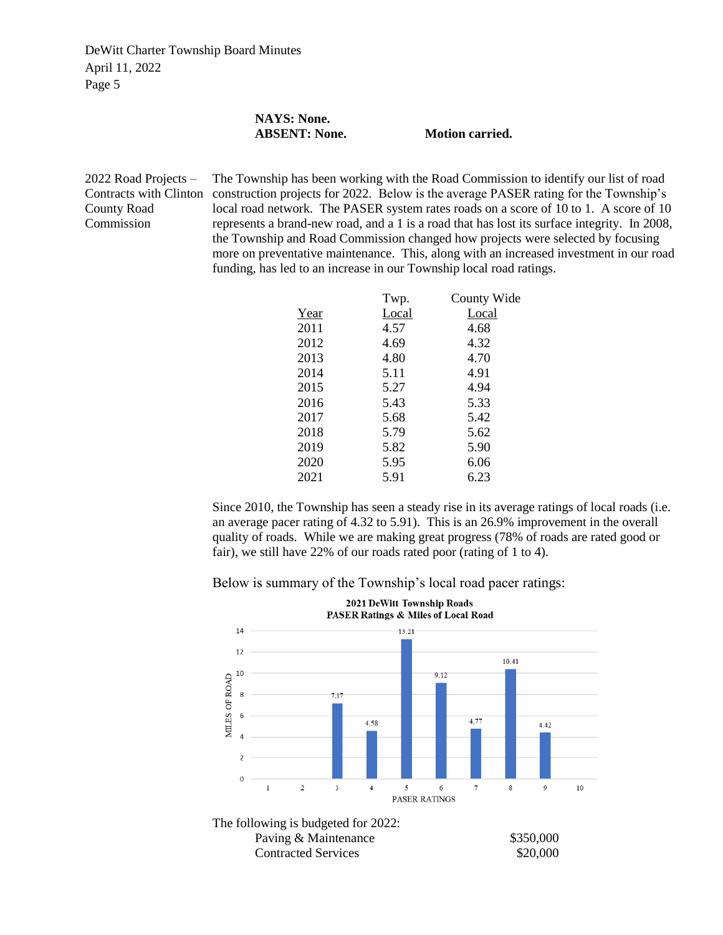## **NAYS: None. ABSENT: None. Motion carried.**

2022 Road Projects – Contracts with Clinton County Road Commission The Township has been working with the Road Commission to identify our list of road construction projects for 2022. Below is the average PASER rating for the Township's local road network. The PASER system rates roads on a score of 10 to 1. A score of 10 represents a brand-new road, and a 1 is a road that has lost its surface integrity. In 2008, the Township and Road Commission changed how projects were selected by focusing more on preventative maintenance. This, along with an increased investment in our road funding, has led to an increase in our Township local road ratings.

| Twp.  | County Wide |
|-------|-------------|
| Local | Local       |
| 4.57  | 4.68        |
| 4.69  | 4.32        |
| 4.80  | 4.70        |
| 5.11  | 4.91        |
| 5.27  | 4.94        |
| 5.43  | 5.33        |
| 5.68  | 5.42        |
| 5.79  | 5.62        |
| 5.82  | 5.90        |
| 5.95  | 6.06        |
| 5.91  | 6.23        |
|       |             |

Since 2010, the Township has seen a steady rise in its average ratings of local roads (i.e. an average pacer rating of 4.32 to 5.91). This is an 26.9% improvement in the overall quality of roads. While we are making great progress (78% of roads are rated good or fair), we still have 22% of our roads rated poor (rating of 1 to 4).

Below is summary of the Township's local road pacer ratings:

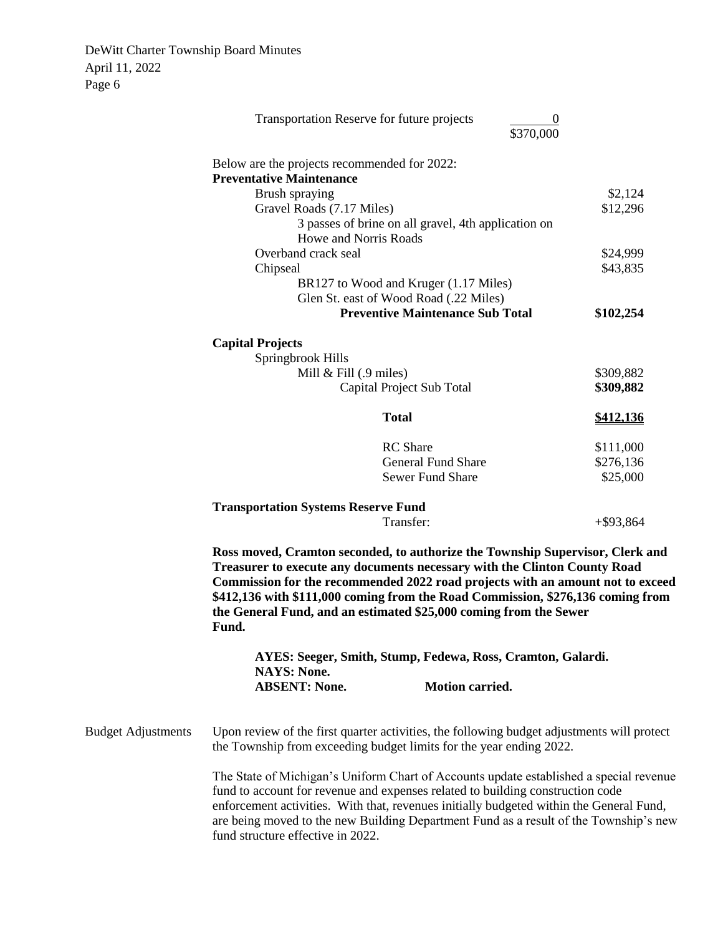|                           | Transportation Reserve for future projects                                                                                                                                                                                                                                                                                                                                                                    | \$370,000                                                                       | 0            |
|---------------------------|---------------------------------------------------------------------------------------------------------------------------------------------------------------------------------------------------------------------------------------------------------------------------------------------------------------------------------------------------------------------------------------------------------------|---------------------------------------------------------------------------------|--------------|
|                           | Below are the projects recommended for 2022:                                                                                                                                                                                                                                                                                                                                                                  |                                                                                 |              |
|                           | <b>Preventative Maintenance</b>                                                                                                                                                                                                                                                                                                                                                                               |                                                                                 |              |
|                           | Brush spraying                                                                                                                                                                                                                                                                                                                                                                                                |                                                                                 | \$2,124      |
|                           | Gravel Roads (7.17 Miles)                                                                                                                                                                                                                                                                                                                                                                                     |                                                                                 | \$12,296     |
|                           |                                                                                                                                                                                                                                                                                                                                                                                                               | 3 passes of brine on all gravel, 4th application on                             |              |
|                           | Howe and Norris Roads                                                                                                                                                                                                                                                                                                                                                                                         |                                                                                 |              |
|                           | Overband crack seal                                                                                                                                                                                                                                                                                                                                                                                           |                                                                                 | \$24,999     |
|                           | Chipseal                                                                                                                                                                                                                                                                                                                                                                                                      |                                                                                 | \$43,835     |
|                           |                                                                                                                                                                                                                                                                                                                                                                                                               | BR127 to Wood and Kruger (1.17 Miles)<br>Glen St. east of Wood Road (.22 Miles) |              |
|                           |                                                                                                                                                                                                                                                                                                                                                                                                               | <b>Preventive Maintenance Sub Total</b>                                         | \$102,254    |
|                           |                                                                                                                                                                                                                                                                                                                                                                                                               |                                                                                 |              |
|                           | <b>Capital Projects</b>                                                                                                                                                                                                                                                                                                                                                                                       |                                                                                 |              |
|                           | Springbrook Hills                                                                                                                                                                                                                                                                                                                                                                                             |                                                                                 |              |
|                           | Mill $&$ Fill $(0, 9)$ miles)                                                                                                                                                                                                                                                                                                                                                                                 |                                                                                 | \$309,882    |
|                           |                                                                                                                                                                                                                                                                                                                                                                                                               | Capital Project Sub Total                                                       | \$309,882    |
|                           |                                                                                                                                                                                                                                                                                                                                                                                                               | <b>Total</b>                                                                    | \$412,136    |
|                           |                                                                                                                                                                                                                                                                                                                                                                                                               | <b>RC</b> Share                                                                 | \$111,000    |
|                           |                                                                                                                                                                                                                                                                                                                                                                                                               | <b>General Fund Share</b>                                                       | \$276,136    |
|                           |                                                                                                                                                                                                                                                                                                                                                                                                               | <b>Sewer Fund Share</b>                                                         | \$25,000     |
|                           |                                                                                                                                                                                                                                                                                                                                                                                                               |                                                                                 |              |
|                           | <b>Transportation Systems Reserve Fund</b>                                                                                                                                                                                                                                                                                                                                                                    | Transfer:                                                                       |              |
|                           |                                                                                                                                                                                                                                                                                                                                                                                                               |                                                                                 | $+$ \$93,864 |
|                           | Ross moved, Cramton seconded, to authorize the Township Supervisor, Clerk and<br>Treasurer to execute any documents necessary with the Clinton County Road<br>Commission for the recommended 2022 road projects with an amount not to exceed<br>\$412,136 with \$111,000 coming from the Road Commission, \$276,136 coming from<br>the General Fund, and an estimated \$25,000 coming from the Sewer<br>Fund. |                                                                                 |              |
|                           |                                                                                                                                                                                                                                                                                                                                                                                                               | AYES: Seeger, Smith, Stump, Fedewa, Ross, Cramton, Galardi.                     |              |
|                           | <b>NAYS: None.</b><br><b>ABSENT: None.</b>                                                                                                                                                                                                                                                                                                                                                                    | <b>Motion carried.</b>                                                          |              |
| <b>Budget Adjustments</b> | Upon review of the first quarter activities, the following budget adjustments will protect<br>the Township from exceeding budget limits for the year ending 2022.                                                                                                                                                                                                                                             |                                                                                 |              |
|                           | The State of Michigan's Uniform Chart of Accounts update established a special revenue<br>fund to account for revenue and expenses related to building construction code<br>enforcement activities. With that, revenues initially budgeted within the General Fund,<br>are being moved to the new Building Department Fund as a result of the Township's new<br>fund structure effective in 2022.             |                                                                                 |              |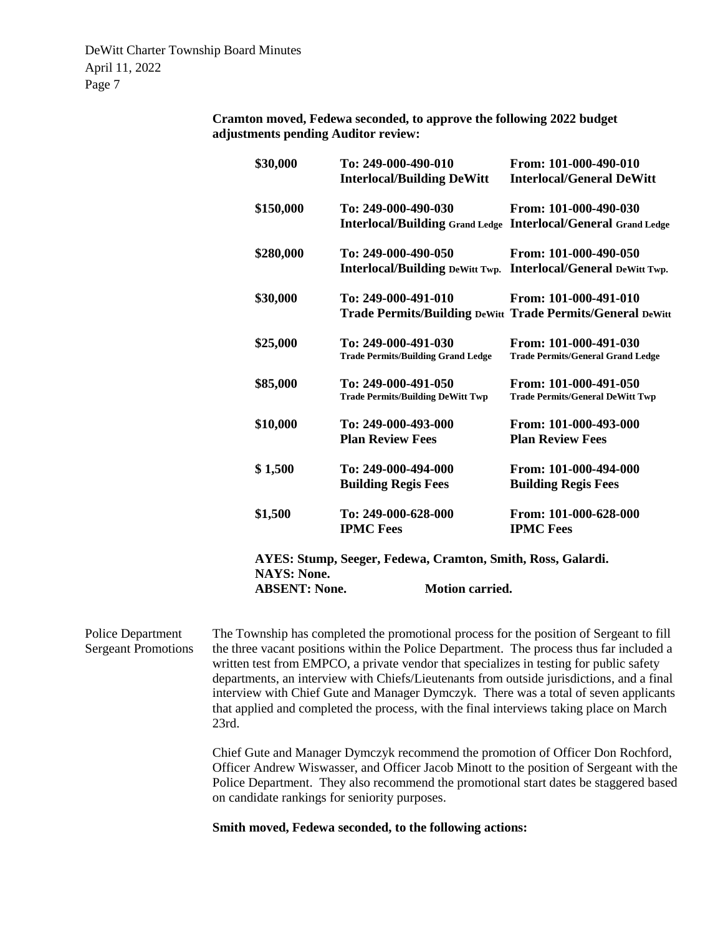> **Cramton moved, Fedewa seconded, to approve the following 2022 budget adjustments pending Auditor review:**

| \$30,000                                   | To: 249-000-490-010<br><b>Interlocal/Building DeWitt</b>                                     | From: 101-000-490-010<br><b>Interlocal/General DeWitt</b>         |
|--------------------------------------------|----------------------------------------------------------------------------------------------|-------------------------------------------------------------------|
| \$150,000                                  | To: 249-000-490-030<br><b>Interlocal/Building Grand Ledge Interlocal/General Grand Ledge</b> | From: 101-000-490-030                                             |
| \$280,000                                  | To: 249-000-490-050<br>Interlocal/Building DeWitt Twp. Interlocal/General DeWitt Twp.        | From: 101-000-490-050                                             |
| \$30,000                                   | To: 249-000-491-010<br><b>Trade Permits/Building DeWitt Trade Permits/General DeWitt</b>     | From: 101-000-491-010                                             |
| \$25,000                                   | To: 249-000-491-030<br><b>Trade Permits/Building Grand Ledge</b>                             | From: 101-000-491-030<br><b>Trade Permits/General Grand Ledge</b> |
| \$85,000                                   | To: 249-000-491-050<br><b>Trade Permits/Building DeWitt Twp</b>                              | From: 101-000-491-050<br><b>Trade Permits/General DeWitt Twp</b>  |
| \$10,000                                   | To: 249-000-493-000<br><b>Plan Review Fees</b>                                               | From: 101-000-493-000<br><b>Plan Review Fees</b>                  |
| \$1,500                                    | To: 249-000-494-000<br><b>Building Regis Fees</b>                                            | From: 101-000-494-000<br><b>Building Regis Fees</b>               |
| \$1,500                                    | To: 249-000-628-000<br><b>IPMC Fees</b>                                                      | From: 101-000-628-000<br><b>IPMC Fees</b>                         |
| <b>NAYS: None.</b><br><b>ABSENT: None.</b> | AYES: Stump, Seeger, Fedewa, Cramton, Smith, Ross, Galardi.<br><b>Motion carried.</b>        |                                                                   |

Police Department Sergeant Promotions The Township has completed the promotional process for the position of Sergeant to fill the three vacant positions within the Police Department. The process thus far included a written test from EMPCO, a private vendor that specializes in testing for public safety departments, an interview with Chiefs/Lieutenants from outside jurisdictions, and a final interview with Chief Gute and Manager Dymczyk. There was a total of seven applicants that applied and completed the process, with the final interviews taking place on March 23rd. Chief Gute and Manager Dymczyk recommend the promotion of Officer Don Rochford,

Officer Andrew Wiswasser, and Officer Jacob Minott to the position of Sergeant with the Police Department. They also recommend the promotional start dates be staggered based on candidate rankings for seniority purposes.

**Smith moved, Fedewa seconded, to the following actions:**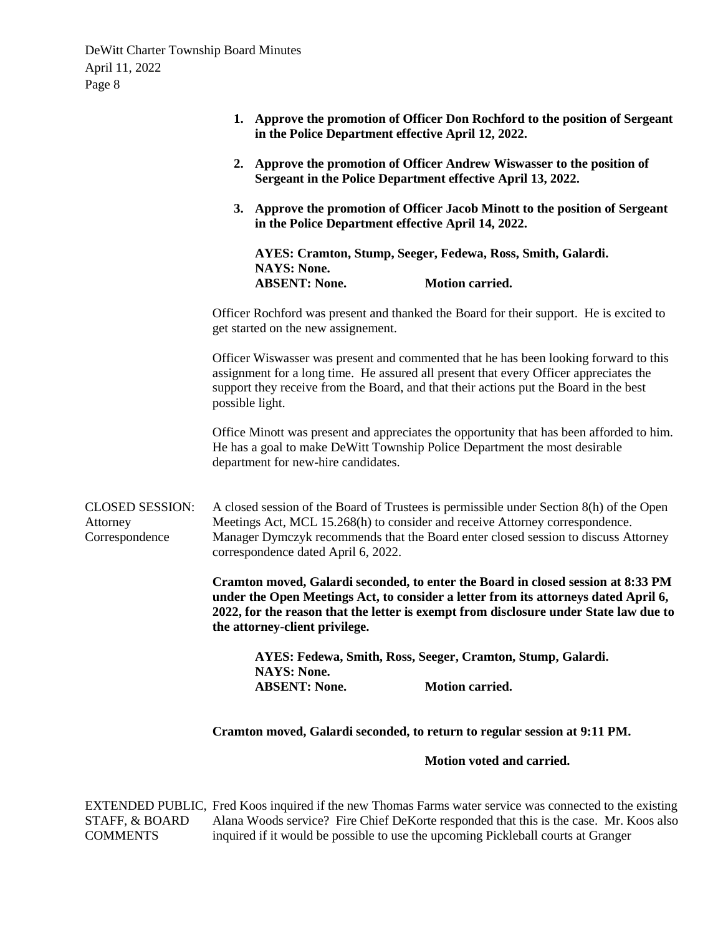|                                                      | 1. Approve the promotion of Officer Don Rochford to the position of Sergeant<br>in the Police Department effective April 12, 2022.                                                                                                                                                                   |  |  |
|------------------------------------------------------|------------------------------------------------------------------------------------------------------------------------------------------------------------------------------------------------------------------------------------------------------------------------------------------------------|--|--|
|                                                      | 2. Approve the promotion of Officer Andrew Wiswasser to the position of<br>Sergeant in the Police Department effective April 13, 2022.                                                                                                                                                               |  |  |
|                                                      | 3. Approve the promotion of Officer Jacob Minott to the position of Sergeant<br>in the Police Department effective April 14, 2022.                                                                                                                                                                   |  |  |
|                                                      | AYES: Cramton, Stump, Seeger, Fedewa, Ross, Smith, Galardi.<br><b>NAYS: None.</b><br><b>ABSENT: None.</b><br>Motion carried.                                                                                                                                                                         |  |  |
|                                                      | Officer Rochford was present and thanked the Board for their support. He is excited to<br>get started on the new assignement.                                                                                                                                                                        |  |  |
|                                                      | Officer Wiswasser was present and commented that he has been looking forward to this<br>assignment for a long time. He assured all present that every Officer appreciates the<br>support they receive from the Board, and that their actions put the Board in the best<br>possible light.            |  |  |
|                                                      | Office Minott was present and appreciates the opportunity that has been afforded to him.<br>He has a goal to make DeWitt Township Police Department the most desirable<br>department for new-hire candidates.                                                                                        |  |  |
| <b>CLOSED SESSION:</b><br>Attorney<br>Correspondence | A closed session of the Board of Trustees is permissible under Section 8(h) of the Open<br>Meetings Act, MCL 15.268(h) to consider and receive Attorney correspondence.<br>Manager Dymczyk recommends that the Board enter closed session to discuss Attorney<br>correspondence dated April 6, 2022. |  |  |
|                                                      | Cramton moved, Galardi seconded, to enter the Board in closed session at 8:33 PM<br>under the Open Meetings Act, to consider a letter from its attorneys dated April 6,<br>2022, for the reason that the letter is exempt from disclosure under State law due to<br>the attorney-client privilege.   |  |  |
|                                                      | AYES: Fedewa, Smith, Ross, Seeger, Cramton, Stump, Galardi.<br><b>NAYS: None.</b><br><b>ABSENT: None.</b><br><b>Motion carried.</b>                                                                                                                                                                  |  |  |
|                                                      | Cramton moved, Galardi seconded, to return to regular session at 9:11 PM.                                                                                                                                                                                                                            |  |  |
|                                                      | Motion voted and carried.                                                                                                                                                                                                                                                                            |  |  |
|                                                      |                                                                                                                                                                                                                                                                                                      |  |  |

EXTENDED PUBLIC, Fred Koos inquired if the new Thomas Farms water service was connected to the existing STAFF, & BOARD COMMENTS Alana Woods service? Fire Chief DeKorte responded that this is the case. Mr. Koos also inquired if it would be possible to use the upcoming Pickleball courts at Granger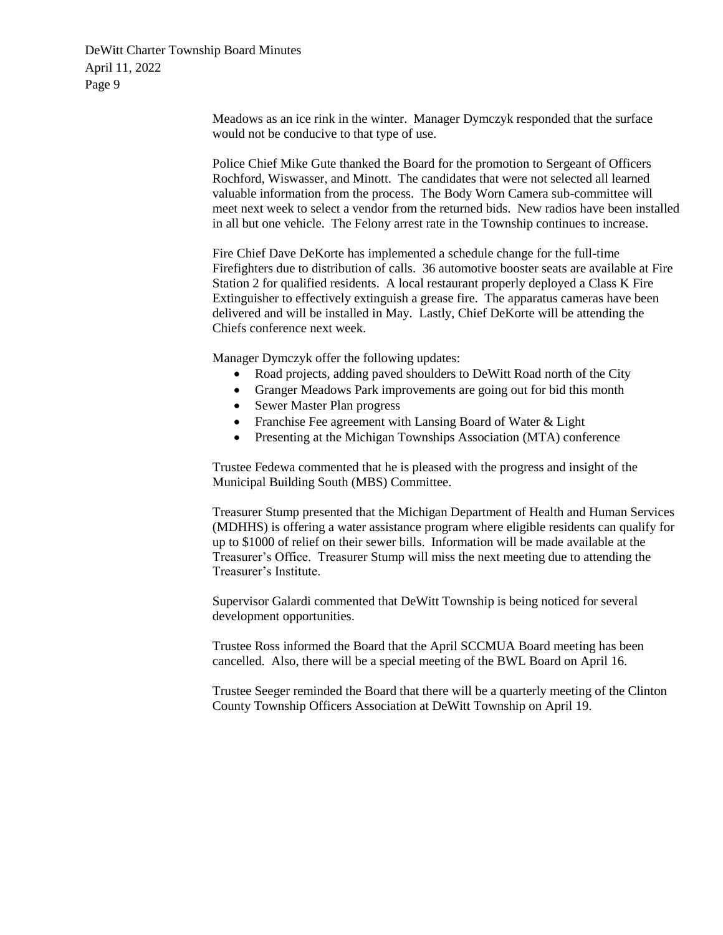> Meadows as an ice rink in the winter. Manager Dymczyk responded that the surface would not be conducive to that type of use.

Police Chief Mike Gute thanked the Board for the promotion to Sergeant of Officers Rochford, Wiswasser, and Minott. The candidates that were not selected all learned valuable information from the process. The Body Worn Camera sub-committee will meet next week to select a vendor from the returned bids. New radios have been installed in all but one vehicle. The Felony arrest rate in the Township continues to increase.

Fire Chief Dave DeKorte has implemented a schedule change for the full-time Firefighters due to distribution of calls. 36 automotive booster seats are available at Fire Station 2 for qualified residents. A local restaurant properly deployed a Class K Fire Extinguisher to effectively extinguish a grease fire. The apparatus cameras have been delivered and will be installed in May. Lastly, Chief DeKorte will be attending the Chiefs conference next week.

Manager Dymczyk offer the following updates:

- Road projects, adding paved shoulders to DeWitt Road north of the City
- Granger Meadows Park improvements are going out for bid this month
- Sewer Master Plan progress
- Franchise Fee agreement with Lansing Board of Water & Light
- Presenting at the Michigan Townships Association (MTA) conference

Trustee Fedewa commented that he is pleased with the progress and insight of the Municipal Building South (MBS) Committee.

Treasurer Stump presented that the Michigan Department of Health and Human Services (MDHHS) is offering a water assistance program where eligible residents can qualify for up to \$1000 of relief on their sewer bills. Information will be made available at the Treasurer's Office. Treasurer Stump will miss the next meeting due to attending the Treasurer's Institute.

Supervisor Galardi commented that DeWitt Township is being noticed for several development opportunities.

Trustee Ross informed the Board that the April SCCMUA Board meeting has been cancelled. Also, there will be a special meeting of the BWL Board on April 16.

Trustee Seeger reminded the Board that there will be a quarterly meeting of the Clinton County Township Officers Association at DeWitt Township on April 19.